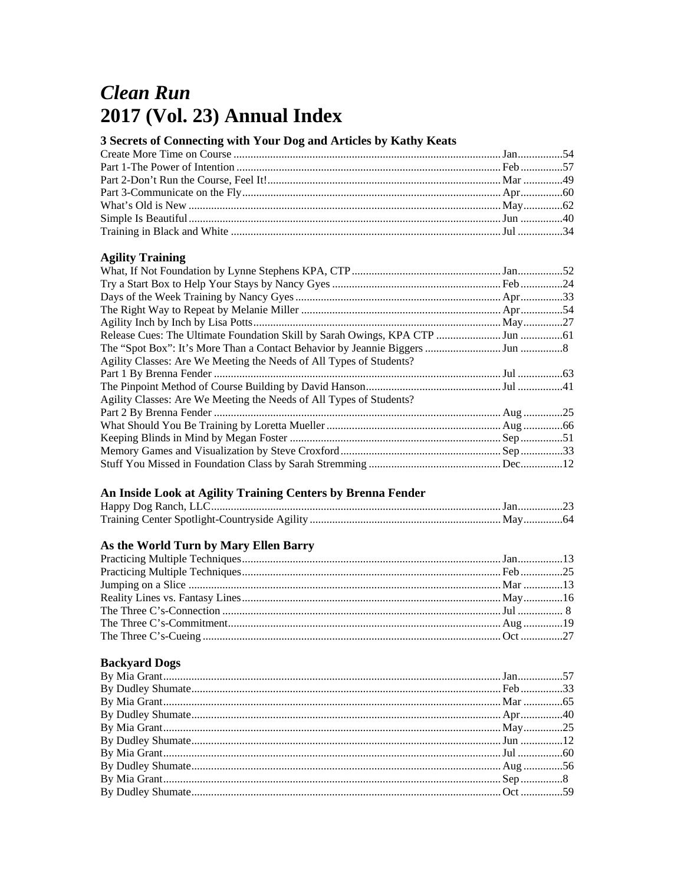# **Clean Run** 2017 (Vol. 23) Annual Index

## 3 Secrets of Connecting with Your Dog and Articles by Kathy Keats

### **Agility Training**

## An Inside Look at Agility Training Centers by Brenna Fender

## As the World Turn by Mary Ellen Barry

## **Backyard Dogs**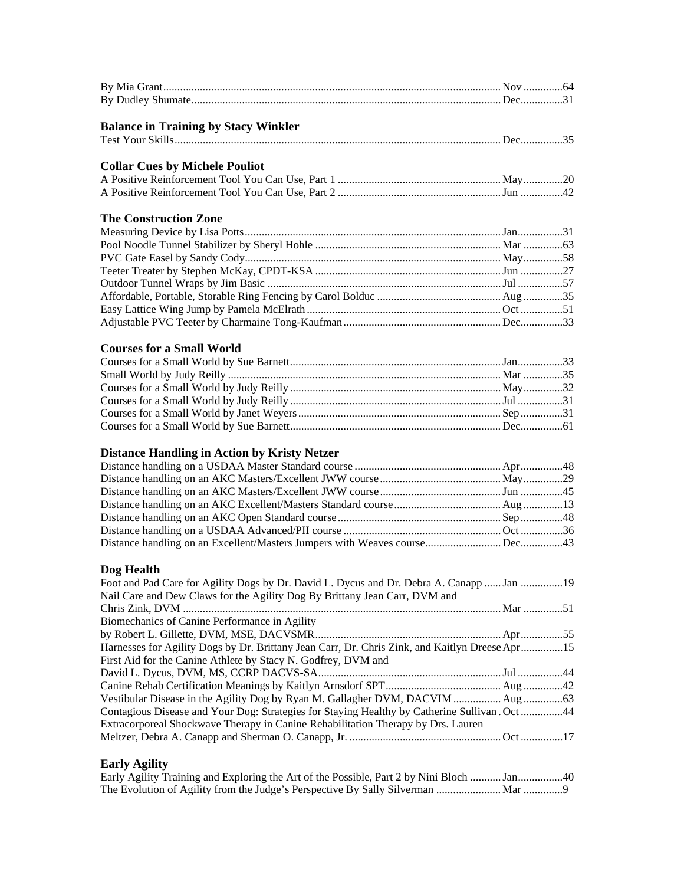| <b>Balance in Training by Stacy Winkler</b>                                                    |  |
|------------------------------------------------------------------------------------------------|--|
|                                                                                                |  |
| <b>Collar Cues by Michele Pouliot</b>                                                          |  |
|                                                                                                |  |
|                                                                                                |  |
|                                                                                                |  |
| <b>The Construction Zone</b>                                                                   |  |
|                                                                                                |  |
|                                                                                                |  |
|                                                                                                |  |
|                                                                                                |  |
|                                                                                                |  |
|                                                                                                |  |
|                                                                                                |  |
|                                                                                                |  |
| <b>Courses for a Small World</b>                                                               |  |
|                                                                                                |  |
|                                                                                                |  |
|                                                                                                |  |
|                                                                                                |  |
|                                                                                                |  |
|                                                                                                |  |
|                                                                                                |  |
| <b>Distance Handling in Action by Kristy Netzer</b>                                            |  |
|                                                                                                |  |
|                                                                                                |  |
|                                                                                                |  |
|                                                                                                |  |
|                                                                                                |  |
|                                                                                                |  |
|                                                                                                |  |
| Dog Health                                                                                     |  |
| Foot and Pad Care for Agility Dogs by Dr. David L. Dycus and Dr. Debra A. Canapp  Jan 19       |  |
| Nail Care and Dew Claws for the Agility Dog By Brittany Jean Carr, DVM and                     |  |
|                                                                                                |  |
| Biomechanics of Canine Performance in Agility                                                  |  |
|                                                                                                |  |
| Harnesses for Agility Dogs by Dr. Brittany Jean Carr, Dr. Chris Zink, and Kaitlyn Dreese Apr15 |  |
| First Aid for the Canine Athlete by Stacy N. Godfrey, DVM and                                  |  |
|                                                                                                |  |
|                                                                                                |  |
| Vestibular Disease in the Agility Dog by Ryan M. Gallagher DVM, DACVIM  Aug63                  |  |
| Contagious Disease and Your Dog: Strategies for Staying Healthy by Catherine Sullivan . Oct 44 |  |
| Extracorporeal Shockwave Therapy in Canine Rehabilitation Therapy by Drs. Lauren               |  |
|                                                                                                |  |
| <b>Early Agility</b>                                                                           |  |

Early Agility Training and Exploring the Art of the Possible, Part 2 by Nini Bloch ........... Jan ................40 The Evolution of Agility from the Judge's Perspective By Sally Silverman ....................... Mar ..............9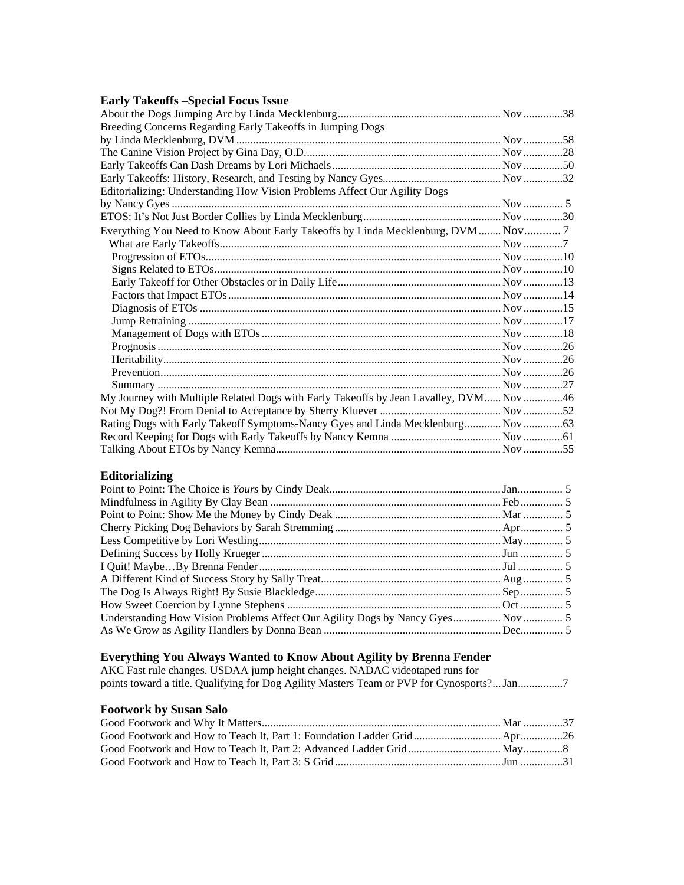#### **Early Takeoffs –Special Focus Issue**

| Breeding Concerns Regarding Early Takeoffs in Jumping Dogs                            |  |
|---------------------------------------------------------------------------------------|--|
|                                                                                       |  |
|                                                                                       |  |
|                                                                                       |  |
|                                                                                       |  |
| Editorializing: Understanding How Vision Problems Affect Our Agility Dogs             |  |
|                                                                                       |  |
|                                                                                       |  |
| Everything You Need to Know About Early Takeoffs by Linda Mecklenburg, DVM  Nov  7    |  |
|                                                                                       |  |
|                                                                                       |  |
|                                                                                       |  |
|                                                                                       |  |
|                                                                                       |  |
|                                                                                       |  |
|                                                                                       |  |
|                                                                                       |  |
|                                                                                       |  |
|                                                                                       |  |
|                                                                                       |  |
|                                                                                       |  |
| My Journey with Multiple Related Dogs with Early Takeoffs by Jean Lavalley, DVM Nov46 |  |
|                                                                                       |  |
| Rating Dogs with Early Takeoff Symptoms-Nancy Gyes and Linda Mecklenburg Nov63        |  |
|                                                                                       |  |
|                                                                                       |  |

#### **Editorializing**

| Understanding How Vision Problems Affect Our Agility Dogs by Nancy Gyes Nov |  |
|-----------------------------------------------------------------------------|--|
|                                                                             |  |

#### **Everything You Always Wanted to Know About Agility by Brenna Fender**

AKC Fast rule changes. USDAA jump height changes. NADAC videotaped runs for points toward a title. Qualifying for Dog Agility Masters Team or PVP for Cynosports?... Jan ................7

#### **Footwork by Susan Salo**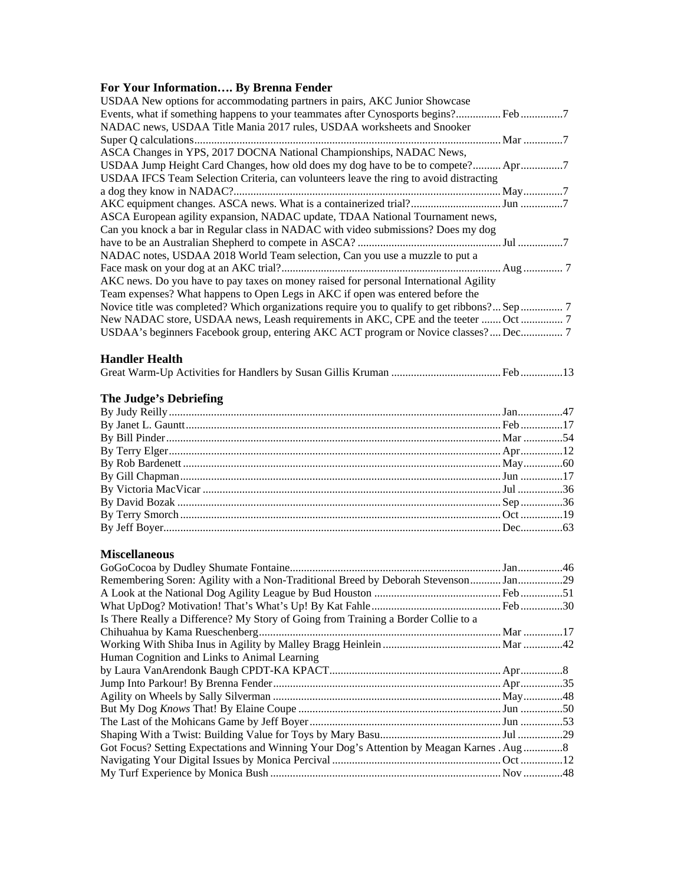### **For Your Information…. By Brenna Fender**

| USDAA New options for accommodating partners in pairs, AKC Junior Showcase             |  |
|----------------------------------------------------------------------------------------|--|
| Events, what if something happens to your teammates after Cynosports begins? Feb7      |  |
| NADAC news, USDAA Title Mania 2017 rules, USDAA worksheets and Snooker                 |  |
|                                                                                        |  |
| ASCA Changes in YPS, 2017 DOCNA National Championships, NADAC News,                    |  |
| USDAA Jump Height Card Changes, how old does my dog have to be to compete? Apr         |  |
| USDAA IFCS Team Selection Criteria, can volunteers leave the ring to avoid distracting |  |
|                                                                                        |  |
|                                                                                        |  |
| ASCA European agility expansion, NADAC update, TDAA National Tournament news,          |  |
| Can you knock a bar in Regular class in NADAC with video submissions? Does my dog      |  |
|                                                                                        |  |
| NADAC notes, USDAA 2018 World Team selection, Can you use a muzzle to put a            |  |
|                                                                                        |  |
| AKC news. Do you have to pay taxes on money raised for personal International Agility  |  |
| Team expenses? What happens to Open Legs in AKC if open was entered before the         |  |
|                                                                                        |  |
| New NADAC store, USDAA news, Leash requirements in AKC, CPE and the teeter  Oct        |  |
| USDAA's beginners Facebook group, entering AKC ACT program or Novice classes? Dec 7    |  |
|                                                                                        |  |

### **Handler Health**

|--|--|--|

## **The Judge's Debriefing**

## **Miscellaneous**

| Remembering Soren: Agility with a Non-Traditional Breed by Deborah Stevenson Jan29<br>Got Focus? Setting Expectations and Winning Your Dog's Attention by Meagan Karnes . Aug8 |
|--------------------------------------------------------------------------------------------------------------------------------------------------------------------------------|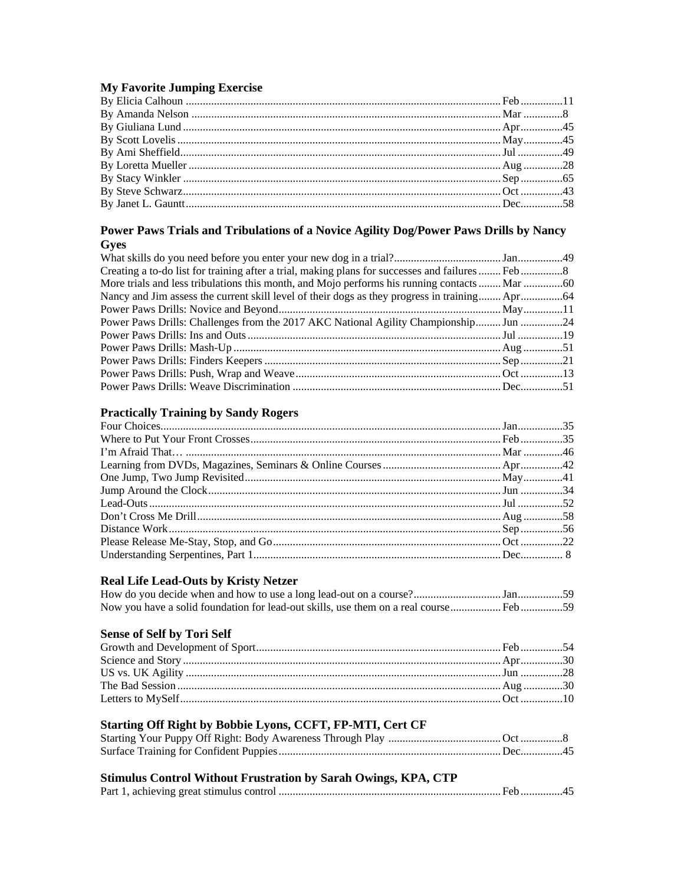#### **My Favorite Jumping Exercise**

#### Power Paws Trials and Tribulations of a Novice Agility Dog/Power Paws Drills by Nancy **Gyes**

| Power Paws Drills: Challenges from the 2017 AKC National Agility Championship Jun 24 |  |
|--------------------------------------------------------------------------------------|--|
|                                                                                      |  |
|                                                                                      |  |
|                                                                                      |  |
|                                                                                      |  |
|                                                                                      |  |

## **Practically Training by Sandy Rogers**

## **Real Life Lead-Outs by Kristy Netzer**

#### **Sense of Self by Tori Self**

## Starting Off Right by Bobbie Lyons, CCFT, FP-MTI, Cert CF

## Stimulus Control Without Frustration by Sarah Owings, KPA, CTP

|--|--|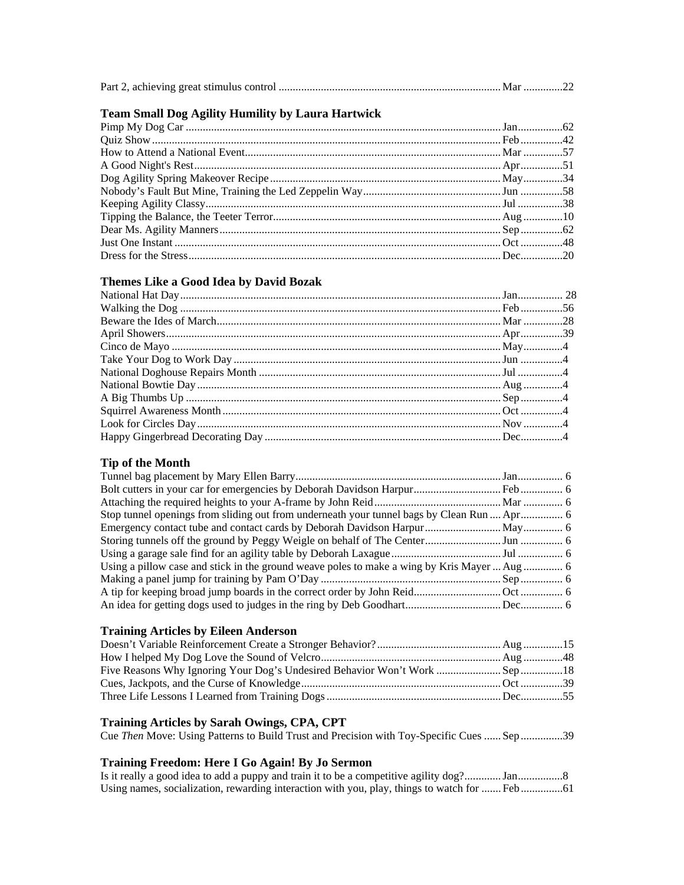|--|--|--|--|--|--|

#### **Team Small Dog Agility Humility by Laura Hartwick**

#### **Themes Like a Good Idea by David Bozak**

#### **Tip of the Month**

| Stop tunnel openings from sliding out from underneath your tunnel bags by Clean Run  Apr  6  |  |
|----------------------------------------------------------------------------------------------|--|
|                                                                                              |  |
|                                                                                              |  |
|                                                                                              |  |
| Using a pillow case and stick in the ground weave poles to make a wing by Kris Mayer  Aug  6 |  |
|                                                                                              |  |
|                                                                                              |  |
|                                                                                              |  |

#### **Training Articles by Eileen Anderson**

#### **Training Articles by Sarah Owings, CPA, CPT**

Cue *Then* Move: Using Patterns to Build Trust and Precision with Toy-Specific Cues ...... Sep ...............39

#### **Training Freedom: Here I Go Again! By Jo Sermon**

Is it really a good idea to add a puppy and train it to be a competitive agility dog? ............. Jan ................8 Using names, socialization, rewarding interaction with you, play, things to watch for ....... Feb ...............61